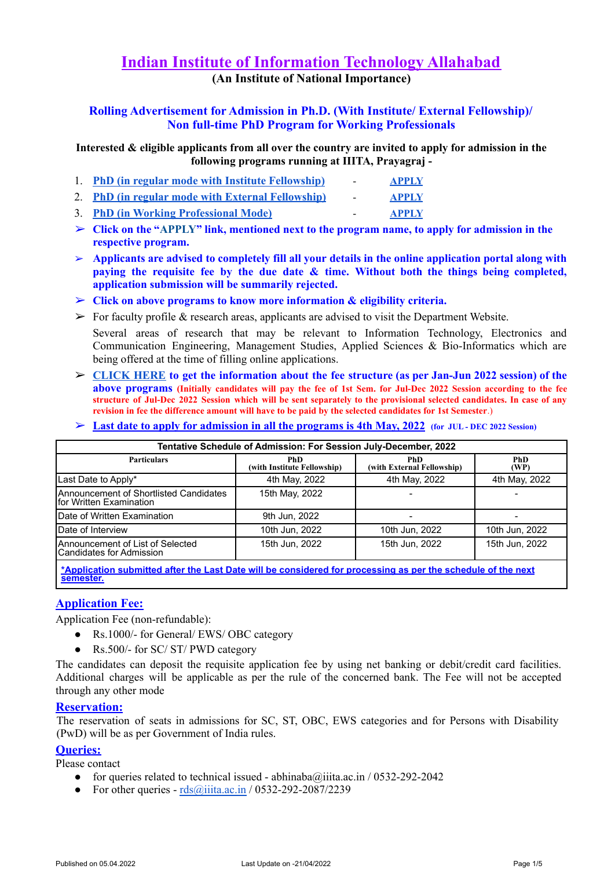# **Indian Institute of Information Technology Allahabad (An Institute of National Importance)**

**Rolling Advertisement for Admission in Ph.D. (With Institute/ External Fellowship)/ Non full-time PhD Program for Working Professionals**

**Interested & eligible applicants from all over the country are invited to apply for admission in the following programs running at IIITA, Prayagraj -**

- 1. **PhD (in regular mode with Institute [Fellowship\)](#page-2-0) [APPLY](https://apply.iiita.ac.in/application/authenticate/phd_reg2/)**
- 2. **PhD (in regular mode with External [Fellowship\)](#page-2-1) [APPLY](https://apply.iiita.ac.in/application/authenticate/phd_ext2/)**
- 3. **PhD (in Working [Professional](#page-4-0) Mode) [APPLY](https://apply.iiita.ac.in/application/authenticate/phd_wpv2/)**
- ➢ **Click on the "APPLY" link, mentioned next to the program name, to apply for admission in the respective program.**
- ➢ **Applicants are advised to completely fill all your details in the online application portal along with paying the requisite fee by the due date & time. Without both the things being completed, application submission will be summarily rejected.**
- ➢ **Click on above programs to know more information & eligibility criteria.**
- $\triangleright$  For faculty profile & research areas, applicants are advised to visit the Department Website.

Several areas of research that may be relevant to Information Technology, Electronics and Communication Engineering, Management Studies, Applied Sciences & Bio-Informatics which are being offered at the time of filling online applications.

- ➢ **[CLICK](https://drive.google.com/file/d/1xosPYyHOWw2PY2YtMJuBiMvulkfae9JG/view?usp=sharing) HERE to get the information about the fee structure (as per Jan-Jun 2022 session) of the** above programs (Initially candidates will pay the fee of 1st Sem. for Jul-Dec 2022 Session according to the fee structure of Jul-Dec 2022 Session which will be sent separately to the provisional selected candidates. In case of any **revision in fee the difference amount will have to be paid by the selected candidates for 1st Semester**.)
- $\geq$  Last date to apply for admission in all the programs is 4th May, 2022 (for JUL-DEC 2022 Session)

| Tentative Schedule of Admission: For Session July-December, 2022  |                                           |                                   |                    |
|-------------------------------------------------------------------|-------------------------------------------|-----------------------------------|--------------------|
| <b>Particulars</b>                                                | <b>PhD</b><br>(with Institute Fellowship) | PhD<br>(with External Fellowship) | <b>PhD</b><br>(WP) |
| Last Date to Apply*                                               | 4th May, 2022                             | 4th May, 2022                     | 4th May, 2022      |
| Announcement of Shortlisted Candidates<br>for Written Examination | 15th May, 2022                            |                                   |                    |
| Date of Written Examination                                       | 9th Jun, 2022                             |                                   |                    |
| Date of Interview                                                 | 10th Jun, 2022                            | 10th Jun, 2022                    | 10th Jun, 2022     |
| Announcement of List of Selected<br>Candidates for Admission      | 15th Jun, 2022                            | 15th Jun. 2022                    | 15th Jun, 2022     |

**\*Application submitted after the Last Date will be considered for processing as per the schedule of the next semester.**

# **Application Fee:**

Application Fee (non-refundable):

- Rs.1000/- for General/ EWS/ OBC category
- Rs.500/- for SC/ ST/ PWD category

The candidates can deposit the requisite application fee by using net banking or debit/credit card facilities. Additional charges will be applicable as per the rule of the concerned bank. The Fee will not be accepted through any other mode

# **Reservation:**

The reservation of seats in admissions for SC, ST, OBC, EWS categories and for Persons with Disability (PwD) will be as per Government of India rules.

# **Queries:**

Please contact

- for queries related to technical issued [abhinaba@iiita.ac.in](mailto:abhinaba@iiita.ac.in) / 0532-292-2042
- For other queries  $rds@iiita.ac.in/0532-292-2087/2239$  $rds@iiita.ac.in/0532-292-2087/2239$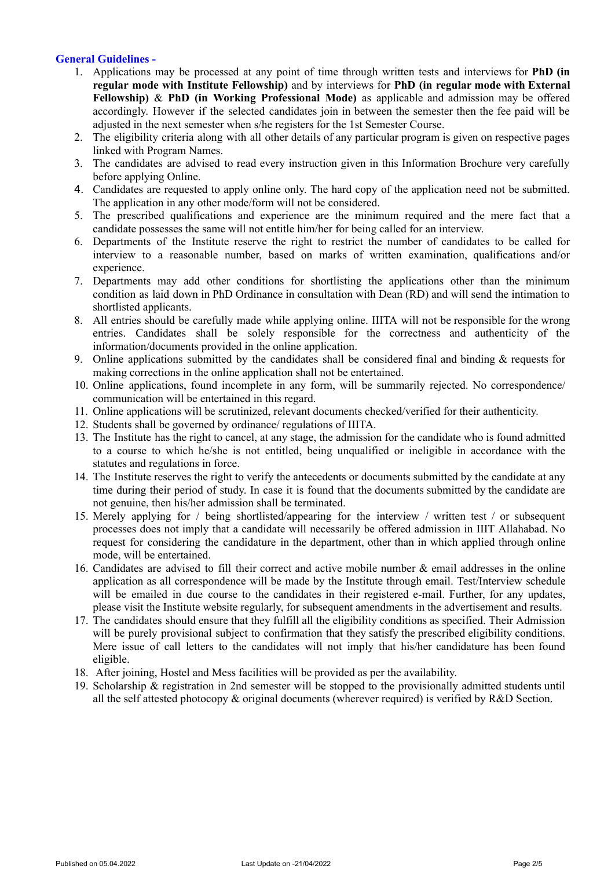# **General Guidelines -**

- 1. Applications may be processed at any point of time through written tests and interviews for **[PhD](#page-2-0) (in regular mode with Institute [Fellowship\)](#page-2-0)** and by interviews for **PhD (in regular mode with [External](#page-2-1) [Fellowship\)](#page-2-1)** & **PhD (in Working [Professional](#page-4-0) Mode)** as applicable and admission may be offered accordingly. However if the selected candidates join in between the semester then the fee paid will be adjusted in the next semester when s/he registers for the 1st Semester Course.
- 2. The eligibility criteria along with all other details of any particular program is given on respective pages linked with Program Names.
- 3. The candidates are advised to read every instruction given in this Information Brochure very carefully before applying Online.
- 4. Candidates are requested to apply online only. The hard copy of the application need not be submitted. The application in any other mode/form will not be considered.
- 5. The prescribed qualifications and experience are the minimum required and the mere fact that a candidate possesses the same will not entitle him/her for being called for an interview.
- 6. Departments of the Institute reserve the right to restrict the number of candidates to be called for interview to a reasonable number, based on marks of written examination, qualifications and/or experience.
- 7. Departments may add other conditions for shortlisting the applications other than the minimum condition as laid down in PhD Ordinance in consultation with Dean (RD) and will send the intimation to shortlisted applicants.
- 8. All entries should be carefully made while applying online. IIITA will not be responsible for the wrong entries. Candidates shall be solely responsible for the correctness and authenticity of the information/documents provided in the online application.
- 9. Online applications submitted by the candidates shall be considered final and binding & requests for making corrections in the online application shall not be entertained.
- 10. Online applications, found incomplete in any form, will be summarily rejected. No correspondence/ communication will be entertained in this regard.
- 11. Online applications will be scrutinized, relevant documents checked/verified for their authenticity.
- 12. Students shall be governed by ordinance/ regulations of IIITA.
- 13. The Institute has the right to cancel, at any stage, the admission for the candidate who is found admitted to a course to which he/she is not entitled, being unqualified or ineligible in accordance with the statutes and regulations in force.
- 14. The Institute reserves the right to verify the antecedents or documents submitted by the candidate at any time during their period of study. In case it is found that the documents submitted by the candidate are not genuine, then his/her admission shall be terminated.
- 15. Merely applying for / being shortlisted/appearing for the interview / written test / or subsequent processes does not imply that a candidate will necessarily be offered admission in IIIT Allahabad. No request for considering the candidature in the department, other than in which applied through online mode, will be entertained.
- 16. Candidates are advised to fill their correct and active mobile number & email addresses in the online application as all correspondence will be made by the Institute through email. Test/Interview schedule will be emailed in due course to the candidates in their registered e-mail. Further, for any updates, please visit the Institute website regularly, for subsequent amendments in the advertisement and results.
- 17. The candidates should ensure that they fulfill all the eligibility conditions as specified. Their Admission will be purely provisional subject to confirmation that they satisfy the prescribed eligibility conditions. Mere issue of call letters to the candidates will not imply that his/her candidature has been found eligible.
- 18. After joining, Hostel and Mess facilities will be provided as per the availability.
- 19. Scholarship & registration in 2nd semester will be stopped to the provisionally admitted students until all the self attested photocopy & original documents (wherever required) is verified by R&D Section.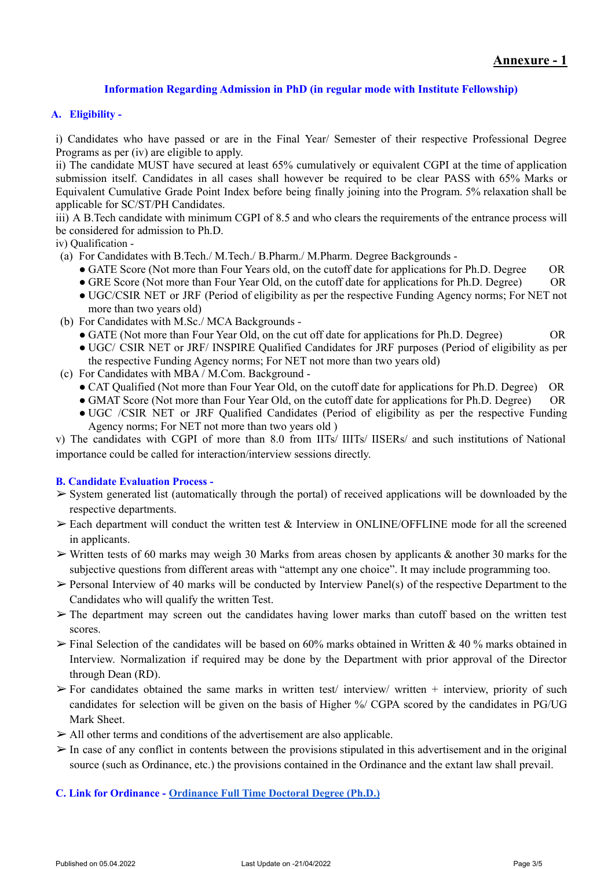# **Information Regarding Admission in PhD (in regular mode with Institute Fellowship)**

# <span id="page-2-0"></span>**A. Eligibility -**

i) Candidates who have passed or are in the Final Year/ Semester of their respective Professional Degree Programs as per (iv) are eligible to apply.

ii) The candidate MUST have secured at least 65% cumulatively or equivalent CGPI at the time of application submission itself. Candidates in all cases shall however be required to be clear PASS with 65% Marks or Equivalent Cumulative Grade Point Index before being finally joining into the Program. 5% relaxation shall be applicable for SC/ST/PH Candidates.

iii) A B.Tech candidate with minimum CGPI of 8.5 and who clears the requirements of the entrance process will be considered for admission to Ph.D.

iv) Qualification -

- (a) For Candidates with B.Tech./ M.Tech./ B.Pharm./ M.Pharm. Degree Backgrounds
	- GATE Score (Not more than Four Years old, on the cutoff date for applications for Ph.D. Degree OR

• GRE Score (Not more than Four Year Old, on the cutoff date for applications for Ph.D. Degree) OR

- UGC/CSIR NET or JRF (Period of eligibility as per the respective Funding Agency norms; For NET not more than two years old)
- (b) For Candidates with M.Sc./ MCA Backgrounds
	- GATE (Not more than Four Year Old, on the cut off date for applications for Ph.D. Degree) OR
	- UGC/ CSIR NET or JRF/ INSPIRE Qualified Candidates for JRF purposes (Period of eligibility as per the respective Funding Agency norms; For NET not more than two years old)
- (c) For Candidates with MBA / M.Com. Background
	- CAT Qualified (Not more than Four Year Old, on the cutoff date for applications for Ph.D. Degree) OR
	- GMAT Score (Not more than Four Year Old, on the cutoff date for applications for Ph.D. Degree) OR
	- UGC /CSIR NET or JRF Qualified Candidates (Period of eligibility as per the respective Funding Agency norms; For NET not more than two years old )

v) The candidates with CGPI of more than 8.0 from IITs/ IIITs/ IISERs/ and such institutions of National importance could be called for interaction/interview sessions directly.

# **B. Candidate Evaluation Process -**

- ➢ System generated list (automatically through the portal) of received applications will be downloaded by the respective departments.
- $\triangleright$  Each department will conduct the written test & Interview in ONLINE/OFFLINE mode for all the screened in applicants.
- $\triangleright$  Written tests of 60 marks may weigh 30 Marks from areas chosen by applicants & another 30 marks for the subjective questions from different areas with "attempt any one choice". It may include programming too.
- $\triangleright$  Personal Interview of 40 marks will be conducted by Interview Panel(s) of the respective Department to the Candidates who will qualify the written Test.
- $\triangleright$  The department may screen out the candidates having lower marks than cutoff based on the written test scores.
- $\triangleright$  Final Selection of the candidates will be based on 60% marks obtained in Written & 40 % marks obtained in Interview. Normalization if required may be done by the Department with prior approval of the Director through Dean (RD).
- $\triangleright$  For candidates obtained the same marks in written test/ interview/ written + interview, priority of such candidates for selection will be given on the basis of Higher %/ CGPA scored by the candidates in PG/UG Mark Sheet.
- $\triangleright$  All other terms and conditions of the advertisement are also applicable.
- $\triangleright$  In case of any conflict in contents between the provisions stipulated in this advertisement and in the original source (such as Ordinance, etc.) the provisions contained in the Ordinance and the extant law shall prevail.

<span id="page-2-1"></span>**C. Link for Ordinance - [Ordinance Full Time Doctoral](https://drive.google.com/file/d/1w-D8G2I5pHgvW6_LULXcheTJsagt0Qz9/view?usp=sharing) Degree (Ph.D.)**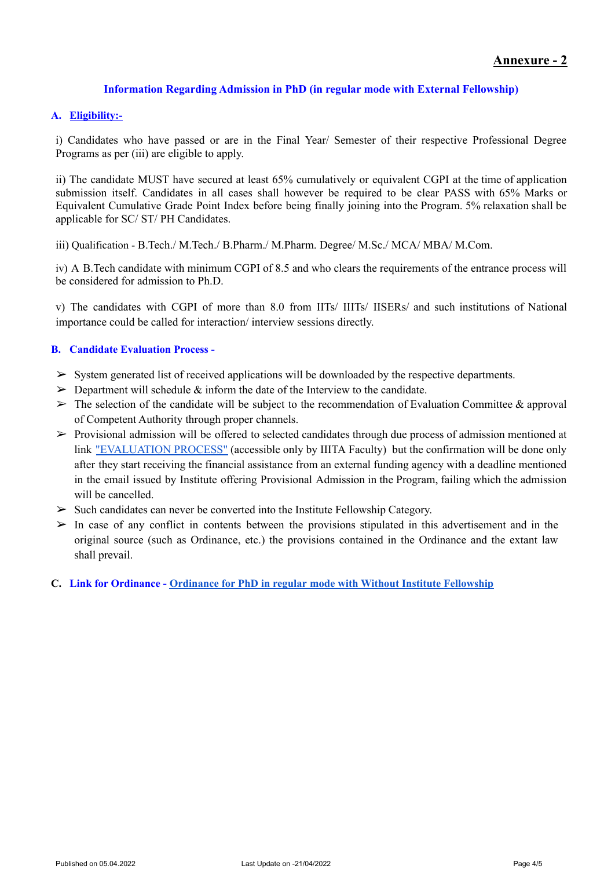# **Information Regarding Admission in PhD (in regular mode with External Fellowship)**

# **A. Eligibility:-**

i) Candidates who have passed or are in the Final Year/ Semester of their respective Professional Degree Programs as per (iii) are eligible to apply.

ii) The candidate MUST have secured at least 65% cumulatively or equivalent CGPI at the time of application submission itself. Candidates in all cases shall however be required to be clear PASS with 65% Marks or Equivalent Cumulative Grade Point Index before being finally joining into the Program. 5% relaxation shall be applicable for SC/ ST/ PH Candidates.

iii) Qualification - B.Tech./ M.Tech./ B.Pharm./ M.Pharm. Degree/ M.Sc./ MCA/ MBA/ M.Com.

iv) A B.Tech candidate with minimum CGPI of 8.5 and who clears the requirements of the entrance process will be considered for admission to Ph.D.

v) The candidates with CGPI of more than 8.0 from IITs/ IIITs/ IISERs/ and such institutions of National importance could be called for interaction/ interview sessions directly.

# **B. Candidate Evaluation Process -**

- $\triangleright$  System generated list of received applications will be downloaded by the respective departments.
- $\geq$  Department will schedule  $\&$  inform the date of the Interview to the candidate.
- $\triangleright$  The selection of the candidate will be subject to the recommendation of Evaluation Committee & approval of Competent Authority through proper channels.
- ➢ Provisional admission will be offered to selected candidates through due process of admission mentioned at link ["EVALUATION](https://docs.google.com/document/d/1GE_R3mqzXhKxC3pBojDrPeJbYS_grLXLEUHQn7hg3qM/edit) PROCESS" (accessible only by IIITA Faculty) but the confirmation will be done only after they start receiving the financial assistance from an external funding agency with a deadline mentioned in the email issued by Institute offering Provisional Admission in the Program, failing which the admission will be cancelled.
- $\triangleright$  Such candidates can never be converted into the Institute Fellowship Category.
- $\triangleright$  In case of any conflict in contents between the provisions stipulated in this advertisement and in the original source (such as Ordinance, etc.) the provisions contained in the Ordinance and the extant law shall prevail.
- **C. Link for Ordinance - Ordinance for PhD in regular [mode with Without Institute Fellowship](https://drive.google.com/file/d/1w-D8G2I5pHgvW6_LULXcheTJsagt0Qz9/view?usp=sharing)**